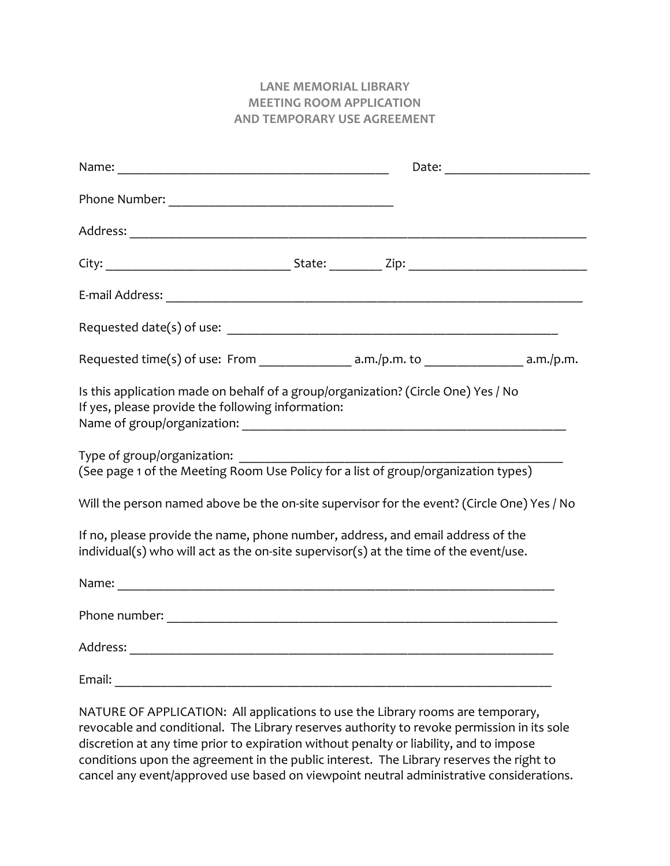## **LANE MEMORIAL LIBRARY MEETING ROOM APPLICATION AND TEMPORARY USE AGREEMENT**

| If yes, please provide the following information: | Is this application made on behalf of a group/organization? (Circle One) Yes / No                                                                                        |  |
|---------------------------------------------------|--------------------------------------------------------------------------------------------------------------------------------------------------------------------------|--|
| Type of group/organization:                       | (See page 1 of the Meeting Room Use Policy for a list of group/organization types)                                                                                       |  |
|                                                   | Will the person named above be the on-site supervisor for the event? (Circle One) Yes / No                                                                               |  |
|                                                   | If no, please provide the name, phone number, address, and email address of the<br>individual(s) who will act as the on-site supervisor(s) at the time of the event/use. |  |
|                                                   |                                                                                                                                                                          |  |
|                                                   |                                                                                                                                                                          |  |
|                                                   |                                                                                                                                                                          |  |
|                                                   |                                                                                                                                                                          |  |
|                                                   | $NATLIRF$ OF APPLICATION: All applications to use the Library rooms are temporary                                                                                        |  |

NATURE OF APPLICATION: All applications to use the Library rooms are temporary, revocable and conditional. The Library reserves authority to revoke permission in its sole discretion at any time prior to expiration without penalty or liability, and to impose conditions upon the agreement in the public interest. The Library reserves the right to cancel any event/approved use based on viewpoint neutral administrative considerations.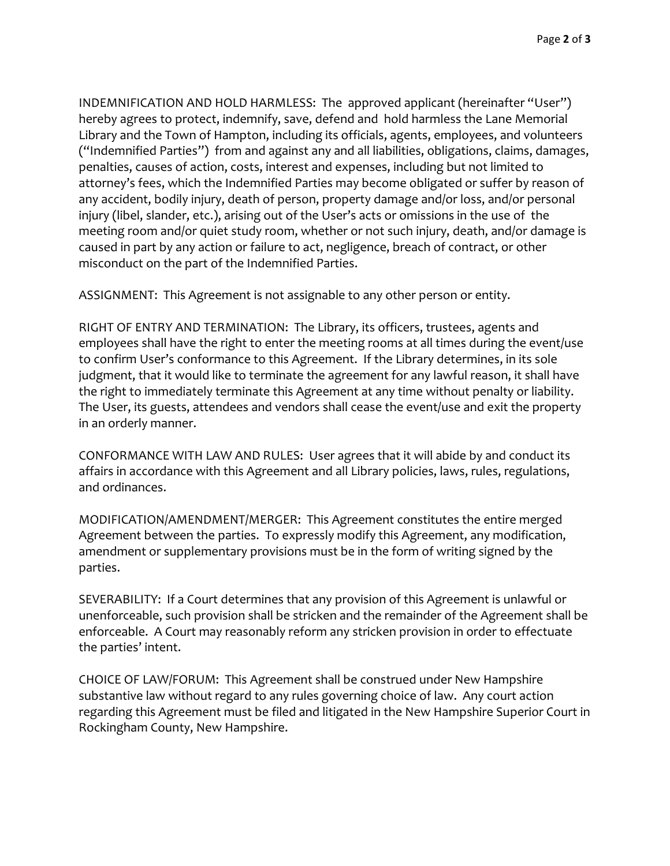INDEMNIFICATION AND HOLD HARMLESS: The approved applicant (hereinafter "User") hereby agrees to protect, indemnify, save, defend and hold harmless the Lane Memorial Library and the Town of Hampton, including its officials, agents, employees, and volunteers ("Indemnified Parties") from and against any and all liabilities, obligations, claims, damages, penalties, causes of action, costs, interest and expenses, including but not limited to attorney's fees, which the Indemnified Parties may become obligated or suffer by reason of any accident, bodily injury, death of person, property damage and/or loss, and/or personal injury (libel, slander, etc.), arising out of the User's acts or omissions in the use of the meeting room and/or quiet study room, whether or not such injury, death, and/or damage is caused in part by any action or failure to act, negligence, breach of contract, or other misconduct on the part of the Indemnified Parties.

ASSIGNMENT: This Agreement is not assignable to any other person or entity.

RIGHT OF ENTRY AND TERMINATION: The Library, its officers, trustees, agents and employees shall have the right to enter the meeting rooms at all times during the event/use to confirm User's conformance to this Agreement. If the Library determines, in its sole judgment, that it would like to terminate the agreement for any lawful reason, it shall have the right to immediately terminate this Agreement at any time without penalty or liability. The User, its guests, attendees and vendors shall cease the event/use and exit the property in an orderly manner.

CONFORMANCE WITH LAW AND RULES: User agrees that it will abide by and conduct its affairs in accordance with this Agreement and all Library policies, laws, rules, regulations, and ordinances.

MODIFICATION/AMENDMENT/MERGER: This Agreement constitutes the entire merged Agreement between the parties. To expressly modify this Agreement, any modification, amendment or supplementary provisions must be in the form of writing signed by the parties.

SEVERABILITY: If a Court determines that any provision of this Agreement is unlawful or unenforceable, such provision shall be stricken and the remainder of the Agreement shall be enforceable. A Court may reasonably reform any stricken provision in order to effectuate the parties' intent.

CHOICE OF LAW/FORUM: This Agreement shall be construed under New Hampshire substantive law without regard to any rules governing choice of law. Any court action regarding this Agreement must be filed and litigated in the New Hampshire Superior Court in Rockingham County, New Hampshire.